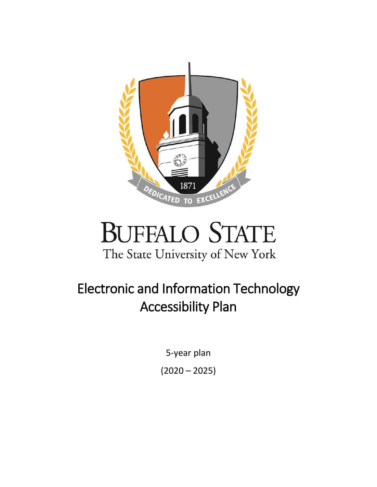



# Electronic and Information Technology Accessibility Plan

5-year plan  $(2020 - 2025)$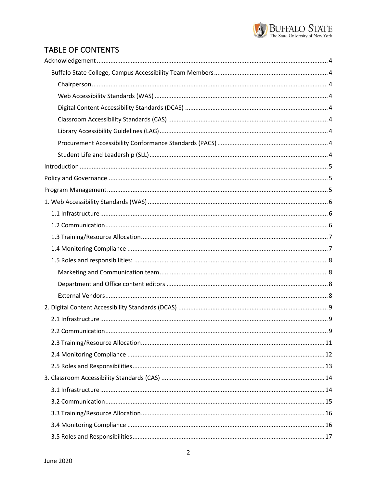

# TABLE OF CONTENTS

| . 9 |
|-----|
|     |
|     |
|     |
|     |
|     |
|     |
|     |
|     |
|     |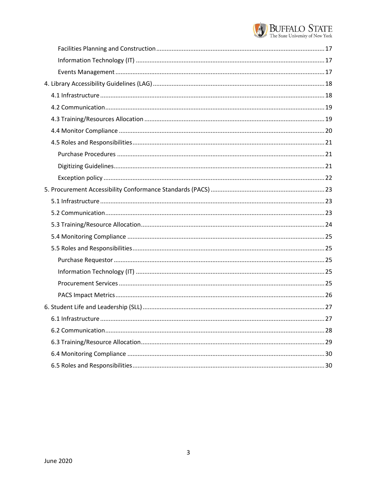

| 6.1 Infrastructure. | .27 |
|---------------------|-----|
|                     |     |
|                     |     |
|                     |     |
|                     |     |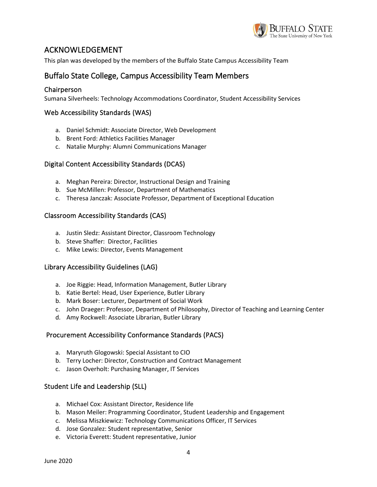

### <span id="page-3-0"></span>ACKNOWLEDGEMENT

This plan was developed by the members of the Buffalo State Campus Accessibility Team

### <span id="page-3-1"></span>Buffalo State College, Campus Accessibility Team Members

#### <span id="page-3-2"></span>Chairperson

Sumana Silverheels: Technology Accommodations Coordinator, Student Accessibility Services

#### <span id="page-3-3"></span>Web Accessibility Standards (WAS)

- a. Daniel Schmidt: Associate Director, Web Development
- b. Brent Ford: Athletics Facilities Manager
- c. Natalie Murphy: Alumni Communications Manager

#### <span id="page-3-4"></span>Digital Content Accessibility Standards (DCAS)

- a. Meghan Pereira: Director, Instructional Design and Training
- b. Sue McMillen: Professor, Department of Mathematics
- c. Theresa Janczak: Associate Professor, Department of Exceptional Education

#### <span id="page-3-5"></span>Classroom Accessibility Standards (CAS)

- a. Justin Sledz: Assistant Director, Classroom Technology
- b. Steve Shaffer: Director, Facilities
- c. Mike Lewis: Director, Events Management

#### <span id="page-3-6"></span>Library Accessibility Guidelines (LAG)

- a. Joe Riggie: Head, Information Management, Butler Library
- b. Katie Bertel: Head, User Experience, Butler Library
- b. Mark Boser: Lecturer, Department of Social Work
- c. John Draeger: Professor, Department of Philosophy, Director of Teaching and Learning Center
- d. Amy Rockwell: Associate Librarian, Butler Library

#### <span id="page-3-7"></span>Procurement Accessibility Conformance Standards (PACS)

- a. Maryruth Glogowski: Special Assistant to CIO
- b. Terry Locher: Director, Construction and Contract Management
- c. Jason Overholt: Purchasing Manager, IT Services

#### <span id="page-3-8"></span>Student Life and Leadership (SLL)

- a. Michael Cox: Assistant Director, Residence life
- b. Mason Meiler: Programming Coordinator, Student Leadership and Engagement
- c. Melissa Miszkiewicz: Technology Communications Officer, IT Services
- d. Jose Gonzalez: Student representative, Senior
- e. Victoria Everett: Student representative, Junior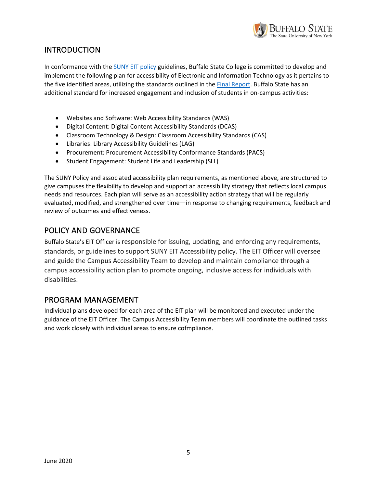

# <span id="page-4-0"></span>INTRODUCTION

In conformance with th[e SUNY EIT policy](https://www.suny.edu/sunypp/documents.cfm?doc_id=883) guidelines, Buffalo State College is committed to develop and implement the following plan for accessibility of Electronic and Information Technology as it pertains to the five identified areas, utilizing the standards outlined in the [Final Report.](https://www.suny.edu/sunypp/docs/884.pdf) Buffalo State has an additional standard for increased engagement and inclusion of students in on-campus activities:

- Websites and Software: Web Accessibility Standards (WAS)
- Digital Content: Digital Content Accessibility Standards (DCAS)
- Classroom Technology & Design: Classroom Accessibility Standards (CAS)
- Libraries: Library Accessibility Guidelines (LAG)
- Procurement: Procurement Accessibility Conformance Standards (PACS)
- Student Engagement: Student Life and Leadership (SLL)

The SUNY Policy and associated accessibility plan requirements, as mentioned above, are structured to give campuses the flexibility to develop and support an accessibility strategy that reflects local campus needs and resources. Each plan will serve as an accessibility action strategy that will be regularly evaluated, modified, and strengthened over time—in response to changing requirements, feedback and review of outcomes and effectiveness.

### <span id="page-4-1"></span>POLICY AND GOVERNANCE

Buffalo State's EIT Officer is responsible for issuing, updating, and enforcing any requirements, standards, or guidelines to support SUNY EIT Accessibility policy. The EIT Officer will oversee and guide the Campus Accessibility Team to develop and maintain compliance through a campus accessibility action plan to promote ongoing, inclusive access for individuals with disabilities.

### <span id="page-4-2"></span>PROGRAM MANAGEMENT

Individual plans developed for each area of the EIT plan will be monitored and executed under the guidance of the EIT Officer. The Campus Accessibility Team members will coordinate the outlined tasks and work closely with individual areas to ensure cofmpliance.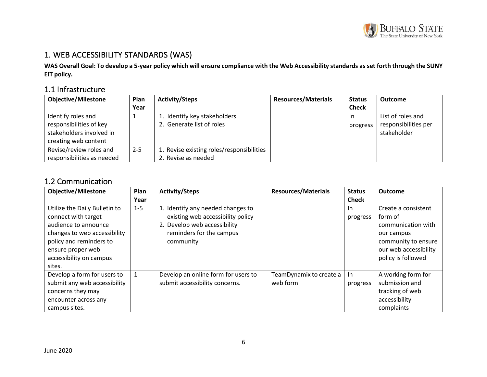

# 1. WEB ACCESSIBILITY STANDARDS (WAS)

**WAS Overall Goal: To develop a 5-year policy which will ensure compliance with the Web Accessibility standards as set forth through the SUNY EIT policy.**

# 1.1 Infrastructure

| <b>Objective/Milestone</b> | Plan    | <b>Activity/Steps</b>                     | <b>Resources/Materials</b> | <b>Status</b> | <b>Outcome</b>       |
|----------------------------|---------|-------------------------------------------|----------------------------|---------------|----------------------|
|                            | Year    |                                           |                            | <b>Check</b>  |                      |
| Identify roles and         |         | 1. Identify key stakeholders              |                            | -In           | List of roles and    |
| responsibilities of key    |         | 2. Generate list of roles                 |                            | progress      | responsibilities per |
| stakeholders involved in   |         |                                           |                            |               | stakeholder          |
| creating web content       |         |                                           |                            |               |                      |
| Revise/review roles and    | $2 - 5$ | 1. Revise existing roles/responsibilities |                            |               |                      |
| responsibilities as needed |         | 2. Revise as needed                       |                            |               |                      |

# <span id="page-5-0"></span>1.2 Communication

<span id="page-5-2"></span><span id="page-5-1"></span>

| <b>Objective/Milestone</b>                                                                                                                                                                        | Plan    | <b>Activity/Steps</b>                                                                                                                           | <b>Resources/Materials</b>          | <b>Status</b>   | <b>Outcome</b>                                                                                                                           |
|---------------------------------------------------------------------------------------------------------------------------------------------------------------------------------------------------|---------|-------------------------------------------------------------------------------------------------------------------------------------------------|-------------------------------------|-----------------|------------------------------------------------------------------------------------------------------------------------------------------|
|                                                                                                                                                                                                   | Year    |                                                                                                                                                 |                                     | <b>Check</b>    |                                                                                                                                          |
| Utilize the Daily Bulletin to<br>connect with target<br>audience to announce<br>changes to web accessibility<br>policy and reminders to<br>ensure proper web<br>accessibility on campus<br>sites. | $1 - 5$ | 1. Identify any needed changes to<br>existing web accessibility policy<br>2. Develop web accessibility<br>reminders for the campus<br>community |                                     | -In<br>progress | Create a consistent<br>form of<br>communication with<br>our campus<br>community to ensure<br>our web accessibility<br>policy is followed |
| Develop a form for users to<br>submit any web accessibility<br>concerns they may<br>encounter across any<br>campus sites.                                                                         | 1       | Develop an online form for users to<br>submit accessibility concerns.                                                                           | TeamDynamix to create a<br>web form | In<br>progress  | A working form for<br>submission and<br>tracking of web<br>accessibility<br>complaints                                                   |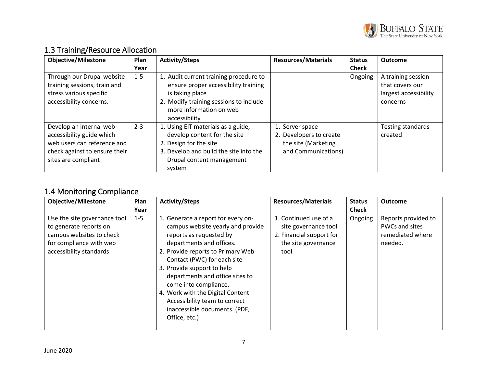

| <b>Objective/Milestone</b>                                                                                                                  | Plan    | <b>Activity/Steps</b>                                                                                                                                                                   | <b>Resources/Materials</b>                                                               | <b>Status</b> | <b>Outcome</b>                                                             |
|---------------------------------------------------------------------------------------------------------------------------------------------|---------|-----------------------------------------------------------------------------------------------------------------------------------------------------------------------------------------|------------------------------------------------------------------------------------------|---------------|----------------------------------------------------------------------------|
|                                                                                                                                             | Year    |                                                                                                                                                                                         |                                                                                          | <b>Check</b>  |                                                                            |
| Through our Drupal website<br>training sessions, train and<br>stress various specific<br>accessibility concerns.                            | $1 - 5$ | 1. Audit current training procedure to<br>ensure proper accessibility training<br>is taking place<br>2. Modify training sessions to include<br>more information on web<br>accessibility |                                                                                          | Ongoing       | A training session<br>that covers our<br>largest accessibility<br>concerns |
| Develop an internal web<br>accessibility guide which<br>web users can reference and<br>check against to ensure their<br>sites are compliant | $2 - 3$ | 1. Using EIT materials as a guide,<br>develop content for the site<br>2. Design for the site<br>3. Develop and build the site into the<br>Drupal content management<br>system           | 1. Server space<br>2. Developers to create<br>the site (Marketing<br>and Communications) |               | Testing standards<br>created                                               |

# 1.3 Training/Resource Allocation

# <span id="page-6-0"></span>1.4 Monitoring Compliance

<span id="page-6-1"></span>

| <b>Objective/Milestone</b>                                                                                                               | Plan    | <b>Activity/Steps</b>                                                                                                                                                                                                                                                                                                                                                                                               | <b>Resources/Materials</b>                                                                               | <b>Status</b> | <b>Outcome</b>                                                       |
|------------------------------------------------------------------------------------------------------------------------------------------|---------|---------------------------------------------------------------------------------------------------------------------------------------------------------------------------------------------------------------------------------------------------------------------------------------------------------------------------------------------------------------------------------------------------------------------|----------------------------------------------------------------------------------------------------------|---------------|----------------------------------------------------------------------|
|                                                                                                                                          | Year    |                                                                                                                                                                                                                                                                                                                                                                                                                     |                                                                                                          | <b>Check</b>  |                                                                      |
| Use the site governance tool<br>to generate reports on<br>campus websites to check<br>for compliance with web<br>accessibility standards | $1 - 5$ | 1. Generate a report for every on-<br>campus website yearly and provide<br>reports as requested by<br>departments and offices.<br>2. Provide reports to Primary Web<br>Contact (PWC) for each site<br>3. Provide support to help<br>departments and office sites to<br>come into compliance.<br>4. Work with the Digital Content<br>Accessibility team to correct<br>inaccessible documents. (PDF,<br>Office, etc.) | 1. Continued use of a<br>site governance tool<br>2. Financial support for<br>the site governance<br>tool | Ongoing       | Reports provided to<br>PWCs and sites<br>remediated where<br>needed. |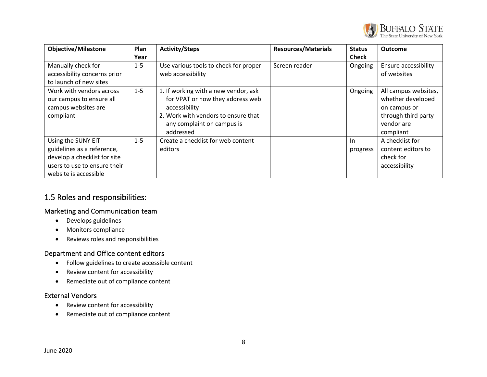

| <b>Objective/Milestone</b>                                                                                                                | Plan    | <b>Activity/Steps</b>                                                                                                                                                       | <b>Resources/Materials</b> | <b>Status</b>   | <b>Outcome</b>                                                                                              |
|-------------------------------------------------------------------------------------------------------------------------------------------|---------|-----------------------------------------------------------------------------------------------------------------------------------------------------------------------------|----------------------------|-----------------|-------------------------------------------------------------------------------------------------------------|
|                                                                                                                                           | Year    |                                                                                                                                                                             |                            | <b>Check</b>    |                                                                                                             |
| Manually check for<br>accessibility concerns prior                                                                                        | $1 - 5$ | Use various tools to check for proper<br>web accessibility                                                                                                                  | Screen reader              | Ongoing         | <b>Ensure accessibility</b><br>of websites                                                                  |
| to launch of new sites<br>Work with vendors across<br>our campus to ensure all<br>campus websites are<br>compliant                        | $1 - 5$ | 1. If working with a new vendor, ask<br>for VPAT or how they address web<br>accessibility<br>2. Work with vendors to ensure that<br>any complaint on campus is<br>addressed |                            | Ongoing         | All campus websites,<br>whether developed<br>on campus or<br>through third party<br>vendor are<br>compliant |
| Using the SUNY EIT<br>guidelines as a reference,<br>develop a checklist for site<br>users to use to ensure their<br>website is accessible | $1 - 5$ | Create a checklist for web content<br>editors                                                                                                                               |                            | In.<br>progress | A checklist for<br>content editors to<br>check for<br>accessibility                                         |

# 1.5 Roles and responsibilities:

#### Marketing and Communication team

- Develops guidelines
- Monitors compliance
- Reviews roles and responsibilities

#### Department and Office content editors

- Follow guidelines to create accessible content
- Review content for accessibility
- Remediate out of compliance content

#### <span id="page-7-0"></span>External Vendors

- Review content for accessibility
- <span id="page-7-3"></span><span id="page-7-2"></span><span id="page-7-1"></span>• Remediate out of compliance content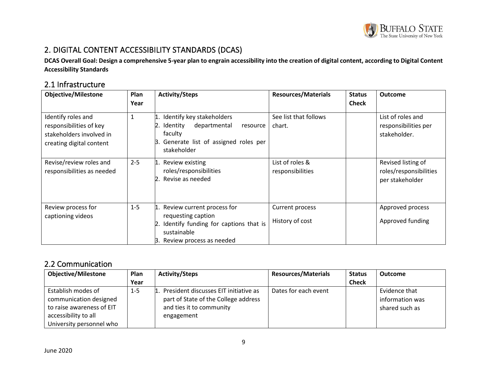

# 2. DIGITAL CONTENT ACCESSIBILITY STANDARDS (DCAS)

**DCAS Overall Goal: Design a comprehensive 5-year plan to engrain accessibility into the creation of digital content, according to Digital Content Accessibility Standards**

# 2.1 Infrastructure

<span id="page-8-0"></span>

| <b>Objective/Milestone</b>                                                                            | Plan<br>Year | <b>Activity/Steps</b>                                                                                                                                | <b>Resources/Materials</b>          | <b>Status</b><br><b>Check</b> | <b>Outcome</b>                                                  |
|-------------------------------------------------------------------------------------------------------|--------------|------------------------------------------------------------------------------------------------------------------------------------------------------|-------------------------------------|-------------------------------|-----------------------------------------------------------------|
| Identify roles and<br>responsibilities of key<br>stakeholders involved in<br>creating digital content | $\mathbf{1}$ | Identify key stakeholders<br>1.<br>2.<br>Identity<br>departmental<br>resource<br>faculty<br>Generate list of assigned roles per<br>Β.<br>stakeholder | See list that follows<br>chart.     |                               | List of roles and<br>responsibilities per<br>stakeholder.       |
| Revise/review roles and<br>responsibilities as needed                                                 | $2 - 5$      | Review existing<br>1.<br>roles/responsibilities<br>Revise as needed<br>2.                                                                            | List of roles &<br>responsibilities |                               | Revised listing of<br>roles/responsibilities<br>per stakeholder |
| Review process for<br>captioning videos                                                               | $1 - 5$      | 1. Review current process for<br>requesting caption<br>Identify funding for captions that is<br>2.<br>sustainable<br>3. Review process as needed     | Current process<br>History of cost  |                               | Approved process<br>Approved funding                            |

### <span id="page-8-1"></span>2.2 Communication

<span id="page-8-2"></span>

| <b>Objective/Milestone</b>                                                                                                    | Plan    | <b>Activity/Steps</b>                                                                                                   | <b>Resources/Materials</b> | <b>Status</b> | <b>Outcome</b>                                     |
|-------------------------------------------------------------------------------------------------------------------------------|---------|-------------------------------------------------------------------------------------------------------------------------|----------------------------|---------------|----------------------------------------------------|
|                                                                                                                               | Year    |                                                                                                                         |                            | <b>Check</b>  |                                                    |
| Establish modes of<br>communication designed<br>to raise awareness of EIT<br>accessibility to all<br>University personnel who | $1 - 5$ | President discusses EIT initiative as<br>part of State of the College address<br>and ties it to community<br>engagement | Dates for each event       |               | Evidence that<br>information was<br>shared such as |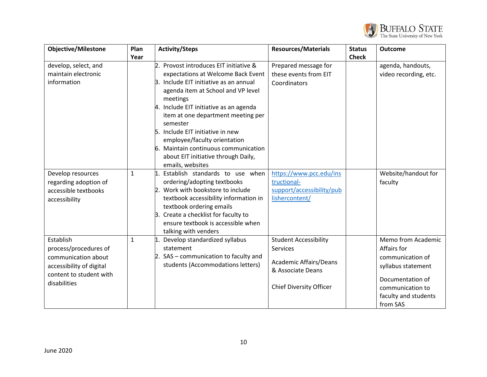

| <b>Objective/Milestone</b> | Plan         | <b>Activity/Steps</b>                                             | <b>Resources/Materials</b>     | <b>Status</b> | <b>Outcome</b>        |
|----------------------------|--------------|-------------------------------------------------------------------|--------------------------------|---------------|-----------------------|
|                            | Year         |                                                                   |                                | <b>Check</b>  |                       |
| develop, select, and       |              | 2. Provost introduces EIT initiative &                            | Prepared message for           |               | agenda, handouts,     |
| maintain electronic        |              | expectations at Welcome Back Event                                | these events from EIT          |               | video recording, etc. |
| information                |              | 3. Include EIT initiative as an annual                            | Coordinators                   |               |                       |
|                            |              | agenda item at School and VP level                                |                                |               |                       |
|                            |              | meetings                                                          |                                |               |                       |
|                            |              | 4. Include EIT initiative as an agenda                            |                                |               |                       |
|                            |              | item at one department meeting per                                |                                |               |                       |
|                            |              | semester                                                          |                                |               |                       |
|                            |              | 5. Include EIT initiative in new                                  |                                |               |                       |
|                            |              | employee/faculty orientation                                      |                                |               |                       |
|                            |              | 6. Maintain continuous communication                              |                                |               |                       |
|                            |              | about EIT initiative through Daily,                               |                                |               |                       |
|                            |              | emails, websites                                                  |                                |               |                       |
| Develop resources          | $\mathbf{1}$ | 1. Establish standards to use when                                | https://www.pcc.edu/ins        |               | Website/handout for   |
| regarding adoption of      |              | ordering/adopting textbooks                                       | tructional-                    |               | faculty               |
| accessible textbooks       |              | 2. Work with bookstore to include                                 | support/accessibility/pub      |               |                       |
| accessibility              |              | textbook accessibility information in<br>textbook ordering emails | lishercontent/                 |               |                       |
|                            |              | 3. Create a checklist for faculty to                              |                                |               |                       |
|                            |              | ensure textbook is accessible when                                |                                |               |                       |
|                            |              | talking with venders                                              |                                |               |                       |
| Establish                  | $\mathbf{1}$ | 1. Develop standardized syllabus                                  | <b>Student Accessibility</b>   |               | Memo from Academic    |
| process/procedures of      |              | statement                                                         | Services                       |               | Affairs for           |
| communication about        |              | 2. SAS - communication to faculty and                             |                                |               | communication of      |
| accessibility of digital   |              | students (Accommodations letters)                                 | <b>Academic Affairs/Deans</b>  |               | syllabus statement    |
| content to student with    |              |                                                                   | & Associate Deans              |               |                       |
| disabilities               |              |                                                                   |                                |               | Documentation of      |
|                            |              |                                                                   | <b>Chief Diversity Officer</b> |               | communication to      |
|                            |              |                                                                   |                                |               | faculty and students  |
|                            |              |                                                                   |                                |               | from SAS              |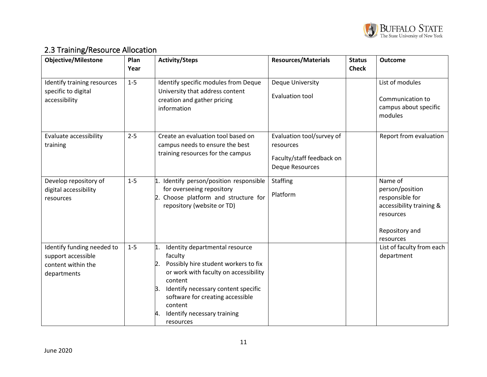

# 2.3 Training/Resource Allocation

<span id="page-10-0"></span>

| <b>Objective/Milestone</b>                                                            | Plan<br>Year | <b>Activity/Steps</b>                                                                                                                                                                                                                                                                                         | <b>Resources/Materials</b>                                                                    | <b>Status</b><br><b>Check</b> | <b>Outcome</b>                                                                                                        |
|---------------------------------------------------------------------------------------|--------------|---------------------------------------------------------------------------------------------------------------------------------------------------------------------------------------------------------------------------------------------------------------------------------------------------------------|-----------------------------------------------------------------------------------------------|-------------------------------|-----------------------------------------------------------------------------------------------------------------------|
| Identify training resources<br>specific to digital<br>accessibility                   | $1 - 5$      | Identify specific modules from Deque<br>University that address content<br>creation and gather pricing<br>information                                                                                                                                                                                         | <b>Deque University</b><br>Evaluation tool                                                    |                               | List of modules<br>Communication to<br>campus about specific<br>modules                                               |
| Evaluate accessibility<br>training                                                    | $2 - 5$      | Create an evaluation tool based on<br>campus needs to ensure the best<br>training resources for the campus                                                                                                                                                                                                    | Evaluation tool/survey of<br>resources<br>Faculty/staff feedback on<br><b>Deque Resources</b> |                               | Report from evaluation                                                                                                |
| Develop repository of<br>digital accessibility<br>resources                           | $1-5$        | 1. Identify person/position responsible<br>for overseeing repository<br>2. Choose platform and structure for<br>repository (website or TD)                                                                                                                                                                    | <b>Staffing</b><br>Platform                                                                   |                               | Name of<br>person/position<br>responsible for<br>accessibility training &<br>resources<br>Repository and<br>resources |
| Identify funding needed to<br>support accessible<br>content within the<br>departments | $1-5$        | Identity departmental resource<br>1.<br>faculty<br>Possibly hire student workers to fix<br>$\overline{2}$ .<br>or work with faculty on accessibility<br>content<br>Identify necessary content specific<br>β.<br>software for creating accessible<br>content<br>Identify necessary training<br>4.<br>resources |                                                                                               |                               | List of faculty from each<br>department                                                                               |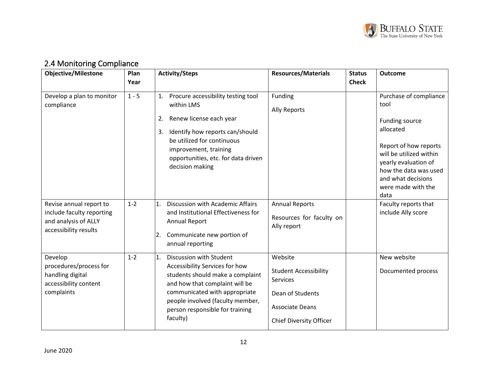

# 2.4 Monitoring Compliance

<span id="page-11-0"></span>

| <b>Objective/Milestone</b>                                                                            | Plan<br>Year | <b>Activity/Steps</b>                                                                                                                                                                                                                                     | <b>Resources/Materials</b>                                                                                                          | <b>Status</b><br><b>Check</b> | <b>Outcome</b>                                                                                                                                                                                                         |
|-------------------------------------------------------------------------------------------------------|--------------|-----------------------------------------------------------------------------------------------------------------------------------------------------------------------------------------------------------------------------------------------------------|-------------------------------------------------------------------------------------------------------------------------------------|-------------------------------|------------------------------------------------------------------------------------------------------------------------------------------------------------------------------------------------------------------------|
| Develop a plan to monitor<br>compliance                                                               | $1 - 5$      | 1. Procure accessibility testing tool<br>within LMS<br>2. Renew license each year<br>Identify how reports can/should<br>3.<br>be utilized for continuous<br>improvement, training<br>opportunities, etc. for data driven<br>decision making               | Funding<br><b>Ally Reports</b>                                                                                                      |                               | Purchase of compliance<br>tool<br>Funding source<br>allocated<br>Report of how reports<br>will be utilized within<br>yearly evaluation of<br>how the data was used<br>and what decisions<br>were made with the<br>data |
| Revise annual report to<br>include faculty reporting<br>and analysis of ALLY<br>accessibility results | $1 - 2$      | Discussion with Academic Affairs<br>$\mathbf{1}$ .<br>and Institutional Effectiveness for<br><b>Annual Report</b><br>Communicate new portion of<br>2.<br>annual reporting                                                                                 | <b>Annual Reports</b><br>Resources for faculty on<br>Ally report                                                                    |                               | Faculty reports that<br>include Ally score                                                                                                                                                                             |
| Develop<br>procedures/process for<br>handling digital<br>accessibility content<br>complaints          | $1 - 2$      | Discussion with Student<br>1.<br>Accessibility Services for how<br>students should make a complaint<br>and how that complaint will be<br>communicated with appropriate<br>people involved (faculty member,<br>person responsible for training<br>faculty) | Website<br><b>Student Accessibility</b><br>Services<br>Dean of Students<br><b>Associate Deans</b><br><b>Chief Diversity Officer</b> |                               | New website<br>Documented process                                                                                                                                                                                      |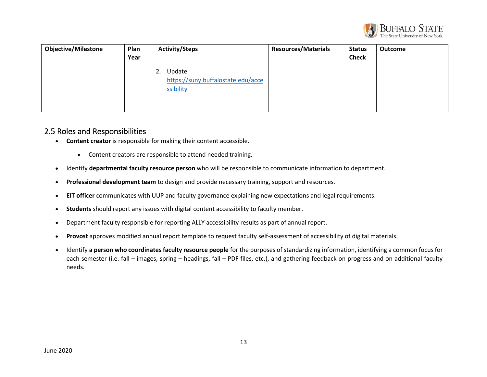

| <b>Objective/Milestone</b> | Plan<br>Year | <b>Activity/Steps</b>                                                     | <b>Resources/Materials</b> | <b>Status</b><br><b>Check</b> | <b>Outcome</b> |
|----------------------------|--------------|---------------------------------------------------------------------------|----------------------------|-------------------------------|----------------|
|                            |              | Update<br>$\mathsf{R}$<br>https://suny.buffalostate.edu/acce<br>ssibility |                            |                               |                |

### 2.5 Roles and Responsibilities

- **Content creator** is responsible for making their content accessible.
	- Content creators are responsible to attend needed training.
- Identify **departmental faculty resource person** who will be responsible to communicate information to department.
- **Professional development team** to design and provide necessary training, support and resources.
- **EIT officer** communicates with UUP and faculty governance explaining new expectations and legal requirements.
- **Students** should report any issues with digital content accessibility to faculty member.
- Department faculty responsible for reporting ALLY accessibility results as part of annual report.
- <span id="page-12-0"></span>• **Provost** approves modified annual report template to request faculty self-assessment of accessibility of digital materials.
- Identify **a person who coordinates faculty resource people** for the purposes of standardizing information, identifying a common focus for each semester (i.e. fall – images, spring – headings, fall – PDF files, etc.), and gathering feedback on progress and on additional faculty needs.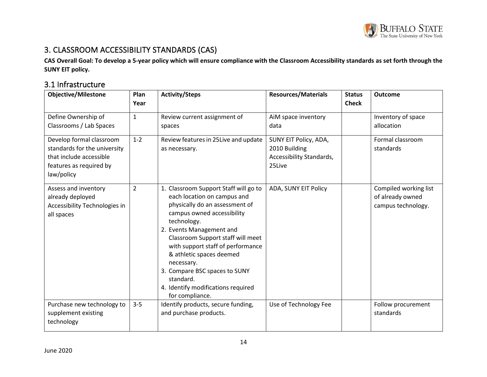

# 3. CLASSROOM ACCESSIBILITY STANDARDS (CAS)

**CAS Overall Goal: To develop a 5-year policy which will ensure compliance with the Classroom Accessibility standards as set forth through the SUNY EIT policy.**

# 3.1 Infrastructure

<span id="page-13-1"></span><span id="page-13-0"></span>

| <b>Objective/Milestone</b>                                                                                                   | Plan<br>Year | <b>Activity/Steps</b>                                                                                                                                                                                                                                                                                                                                                                                      | <b>Resources/Materials</b>                                                   | <b>Status</b><br><b>Check</b> | <b>Outcome</b>                                                  |
|------------------------------------------------------------------------------------------------------------------------------|--------------|------------------------------------------------------------------------------------------------------------------------------------------------------------------------------------------------------------------------------------------------------------------------------------------------------------------------------------------------------------------------------------------------------------|------------------------------------------------------------------------------|-------------------------------|-----------------------------------------------------------------|
| Define Ownership of<br>Classrooms / Lab Spaces                                                                               | $\mathbf{1}$ | Review current assignment of<br>spaces                                                                                                                                                                                                                                                                                                                                                                     | AiM space inventory<br>data                                                  |                               | Inventory of space<br>allocation                                |
| Develop formal classroom<br>standards for the university<br>that include accessible<br>features as required by<br>law/policy | $1 - 2$      | Review features in 25 Live and update<br>as necessary.                                                                                                                                                                                                                                                                                                                                                     | SUNY EIT Policy, ADA,<br>2010 Building<br>Accessibility Standards,<br>25Live |                               | Formal classroom<br>standards                                   |
| Assess and inventory<br>already deployed<br>Accessibility Technologies in<br>all spaces                                      | 2            | 1. Classroom Support Staff will go to<br>each location on campus and<br>physically do an assessment of<br>campus owned accessibility<br>technology.<br>2. Events Management and<br>Classroom Support staff will meet<br>with support staff of performance<br>& athletic spaces deemed<br>necessary.<br>3. Compare BSC spaces to SUNY<br>standard.<br>4. Identify modifications required<br>for compliance. | ADA, SUNY EIT Policy                                                         |                               | Compiled working list<br>of already owned<br>campus technology. |
| Purchase new technology to<br>supplement existing<br>technology                                                              | $3 - 5$      | Identify products, secure funding,<br>and purchase products.                                                                                                                                                                                                                                                                                                                                               | Use of Technology Fee                                                        |                               | Follow procurement<br>standards                                 |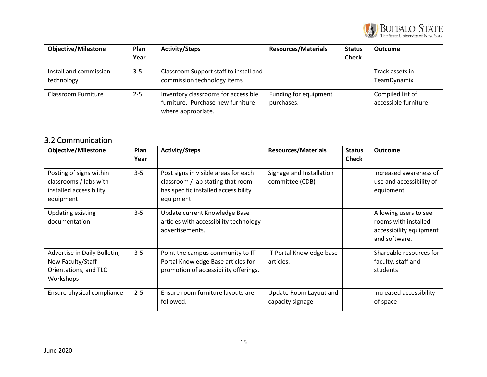

| <b>Objective/Milestone</b>           | Plan<br>Year | <b>Activity/Steps</b>                                                                          | <b>Resources/Materials</b>          | <b>Status</b><br><b>Check</b> | <b>Outcome</b>                           |
|--------------------------------------|--------------|------------------------------------------------------------------------------------------------|-------------------------------------|-------------------------------|------------------------------------------|
| Install and commission<br>technology | $3 - 5$      | Classroom Support staff to install and<br>commission technology items                          |                                     |                               | Track assets in<br>TeamDynamix           |
| Classroom Furniture                  | $2 - 5$      | Inventory classrooms for accessible<br>furniture. Purchase new furniture<br>where appropriate. | Funding for equipment<br>purchases. |                               | Compiled list of<br>accessible furniture |

# 3.2 Communication

<span id="page-14-0"></span>

| <b>Objective/Milestone</b>                                                                | Plan<br>Year | <b>Activity/Steps</b>                                                                                                          | <b>Resources/Materials</b>                  | <b>Status</b><br><b>Check</b> | <b>Outcome</b>                                                                            |
|-------------------------------------------------------------------------------------------|--------------|--------------------------------------------------------------------------------------------------------------------------------|---------------------------------------------|-------------------------------|-------------------------------------------------------------------------------------------|
| Posting of signs within<br>classrooms / labs with<br>installed accessibility<br>equipment | $3 - 5$      | Post signs in visible areas for each<br>classroom / lab stating that room<br>has specific installed accessibility<br>equipment | Signage and Installation<br>committee (CDB) |                               | Increased awareness of<br>use and accessibility of<br>equipment                           |
| <b>Updating existing</b><br>documentation                                                 | $3 - 5$      | Update current Knowledge Base<br>articles with accessibility technology<br>advertisements.                                     |                                             |                               | Allowing users to see<br>rooms with installed<br>accessibility equipment<br>and software. |
| Advertise in Daily Bulletin,<br>New Faculty/Staff<br>Orientations, and TLC<br>Workshops   | $3 - 5$      | Point the campus community to IT<br>Portal Knowledge Base articles for<br>promotion of accessibility offerings.                | IT Portal Knowledge base<br>articles.       |                               | Shareable resources for<br>faculty, staff and<br>students                                 |
| Ensure physical compliance                                                                | $2 - 5$      | Ensure room furniture layouts are<br>followed.                                                                                 | Update Room Layout and<br>capacity signage  |                               | Increased accessibility<br>of space                                                       |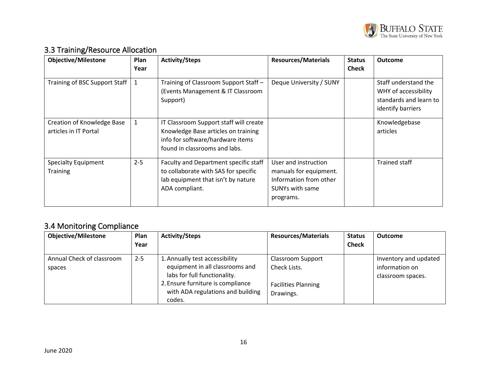

# 3.3 Training/Resource Allocation

| <b>Objective/Milestone</b>                          | Plan<br>Year | <b>Activity/Steps</b>                                                                                                                              | <b>Resources/Materials</b>                                                                                      | <b>Status</b><br><b>Check</b> | <b>Outcome</b>                                                                              |
|-----------------------------------------------------|--------------|----------------------------------------------------------------------------------------------------------------------------------------------------|-----------------------------------------------------------------------------------------------------------------|-------------------------------|---------------------------------------------------------------------------------------------|
| Training of BSC Support Staff                       | 1            | Training of Classroom Support Staff -<br>(Events Management & IT Classroom<br>Support)                                                             | Deque University / SUNY                                                                                         |                               | Staff understand the<br>WHY of accessibility<br>standards and learn to<br>identify barriers |
| Creation of Knowledge Base<br>articles in IT Portal | 1            | IT Classroom Support staff will create<br>Knowledge Base articles on training<br>info for software/hardware items<br>found in classrooms and labs. |                                                                                                                 |                               | Knowledgebase<br>articles                                                                   |
| <b>Specialty Equipment</b><br><b>Training</b>       | $2 - 5$      | Faculty and Department specific staff<br>to collaborate with SAS for specific<br>lab equipment that isn't by nature<br>ADA compliant.              | User and instruction<br>manuals for equipment.<br>Information from other<br><b>SUNYs with same</b><br>programs. |                               | Trained staff                                                                               |

# <span id="page-15-0"></span>3.4 Monitoring Compliance

<span id="page-15-1"></span>

| <b>Objective/Milestone</b>          | <b>Plan</b><br>Year | <b>Activity/Steps</b>                                                                                                                                                                 | <b>Resources/Materials</b>                                                          | <b>Status</b><br><b>Check</b> | <b>Outcome</b>                                               |
|-------------------------------------|---------------------|---------------------------------------------------------------------------------------------------------------------------------------------------------------------------------------|-------------------------------------------------------------------------------------|-------------------------------|--------------------------------------------------------------|
| Annual Check of classroom<br>spaces | $2 - 5$             | 1. Annually test accessibility<br>equipment in all classrooms and<br>labs for full functionality.<br>2. Ensure furniture is compliance<br>with ADA regulations and building<br>codes. | <b>Classroom Support</b><br>Check Lists.<br><b>Facilities Planning</b><br>Drawings. |                               | Inventory and updated<br>information on<br>classroom spaces. |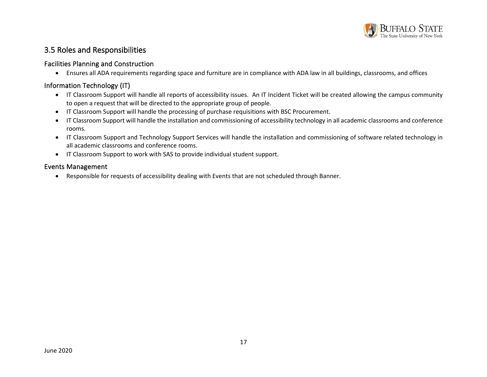

### 3.5 Roles and Responsibilities

#### Facilities Planning and Construction

• Ensures all ADA requirements regarding space and furniture are in compliance with ADA law in all buildings, classrooms, and offices

#### Information Technology (IT)

- IT Classroom Support will handle all reports of accessibility issues. An IT Incident Ticket will be created allowing the campus community to open a request that will be directed to the appropriate group of people.
- IT Classroom Support will handle the processing of purchase requisitions with BSC Procurement.
- IT Classroom Support will handle the installation and commissioning of accessibility technology in all academic classrooms and conference rooms.
- IT Classroom Support and Technology Support Services will handle the installation and commissioning of software related technology in all academic classrooms and conference rooms.
- IT Classroom Support to work with SAS to provide individual student support.

#### <span id="page-16-1"></span><span id="page-16-0"></span>Events Management

<span id="page-16-3"></span><span id="page-16-2"></span>• Responsible for requests of accessibility dealing with Events that are not scheduled through Banner.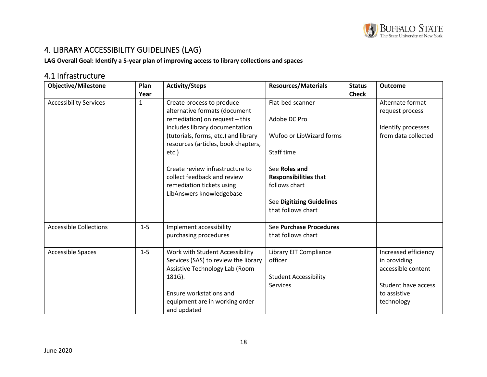

# 4. LIBRARY ACCESSIBILITY GUIDELINES (LAG)

**LAG Overall Goal: Identify a 5-year plan of improving access to library collections and spaces**

# 4.1 Infrastructure

<span id="page-17-1"></span><span id="page-17-0"></span>

| <b>Objective/Milestone</b>    | Plan    | <b>Activity/Steps</b>                                                       | <b>Resources/Materials</b>       | <b>Status</b> | <b>Outcome</b>       |
|-------------------------------|---------|-----------------------------------------------------------------------------|----------------------------------|---------------|----------------------|
|                               | Year    |                                                                             |                                  | <b>Check</b>  |                      |
| <b>Accessibility Services</b> | 1       | Create process to produce                                                   | Flat-bed scanner                 |               | Alternate format     |
|                               |         | alternative formats (document                                               |                                  |               | request process      |
|                               |         | remediation) on request - this                                              | Adobe DC Pro                     |               |                      |
|                               |         | includes library documentation                                              |                                  |               | Identify processes   |
|                               |         | (tutorials, forms, etc.) and library<br>resources (articles, book chapters, | Wufoo or LibWizard forms         |               | from data collected  |
|                               |         | etc.)                                                                       | Staff time                       |               |                      |
|                               |         | Create review infrastructure to                                             | See Roles and                    |               |                      |
|                               |         | collect feedback and review                                                 | Responsibilities that            |               |                      |
|                               |         | remediation tickets using                                                   | follows chart                    |               |                      |
|                               |         | LibAnswers knowledgebase                                                    |                                  |               |                      |
|                               |         |                                                                             | <b>See Digitizing Guidelines</b> |               |                      |
|                               |         |                                                                             | that follows chart               |               |                      |
| <b>Accessible Collections</b> | $1 - 5$ | Implement accessibility                                                     | See Purchase Procedures          |               |                      |
|                               |         | purchasing procedures                                                       | that follows chart               |               |                      |
| <b>Accessible Spaces</b>      | $1-5$   | Work with Student Accessibility                                             | Library EIT Compliance           |               | Increased efficiency |
|                               |         | Services (SAS) to review the library                                        | officer                          |               | in providing         |
|                               |         | Assistive Technology Lab (Room                                              |                                  |               | accessible content   |
|                               |         | 181G).                                                                      | <b>Student Accessibility</b>     |               |                      |
|                               |         |                                                                             | <b>Services</b>                  |               | Student have access  |
|                               |         | Ensure workstations and                                                     |                                  |               | to assistive         |
|                               |         | equipment are in working order                                              |                                  |               | technology           |
|                               |         | and updated                                                                 |                                  |               |                      |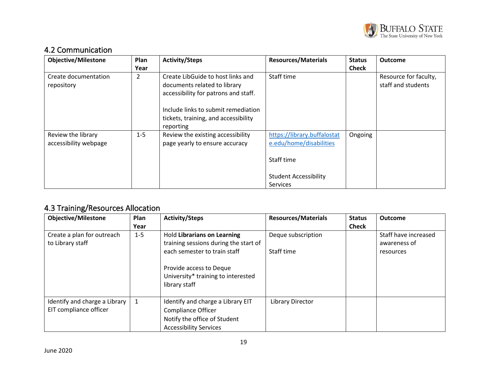

# 4.2 Communication

| <b>Objective/Milestone</b>         | <b>Plan</b><br>Year | <b>Activity/Steps</b>                                                                                     | <b>Resources/Materials</b>   | <b>Status</b><br><b>Check</b> | <b>Outcome</b>                              |
|------------------------------------|---------------------|-----------------------------------------------------------------------------------------------------------|------------------------------|-------------------------------|---------------------------------------------|
| Create documentation<br>repository | 2                   | Create LibGuide to host links and<br>documents related to library<br>accessibility for patrons and staff. | Staff time                   |                               | Resource for faculty,<br>staff and students |
|                                    |                     | Include links to submit remediation                                                                       |                              |                               |                                             |
|                                    |                     | tickets, training, and accessibility<br>reporting                                                         |                              |                               |                                             |
| Review the library                 | $1 - 5$             | Review the existing accessibility                                                                         | https://library.buffalostat  | Ongoing                       |                                             |
| accessibility webpage              |                     | page yearly to ensure accuracy                                                                            | e.edu/home/disabilities      |                               |                                             |
|                                    |                     |                                                                                                           | Staff time                   |                               |                                             |
|                                    |                     |                                                                                                           | <b>Student Accessibility</b> |                               |                                             |
|                                    |                     |                                                                                                           | <b>Services</b>              |                               |                                             |

# <span id="page-18-0"></span>4.3 Training/Resources Allocation

<span id="page-18-1"></span>

| <b>Objective/Milestone</b>                              | Plan<br>Year | <b>Activity/Steps</b>                                                                                                                                                                         | <b>Resources/Materials</b>       | <b>Status</b><br><b>Check</b> | Outcome                                           |
|---------------------------------------------------------|--------------|-----------------------------------------------------------------------------------------------------------------------------------------------------------------------------------------------|----------------------------------|-------------------------------|---------------------------------------------------|
| Create a plan for outreach<br>to Library staff          | $1 - 5$      | <b>Hold Librarians on Learning</b><br>training sessions during the start of<br>each semester to train staff<br>Provide access to Deque<br>University* training to interested<br>library staff | Deque subscription<br>Staff time |                               | Staff have increased<br>awareness of<br>resources |
| Identify and charge a Library<br>EIT compliance officer | 1            | Identify and charge a Library EIT<br><b>Compliance Officer</b><br>Notify the office of Student<br><b>Accessibility Services</b>                                                               | <b>Library Director</b>          |                               |                                                   |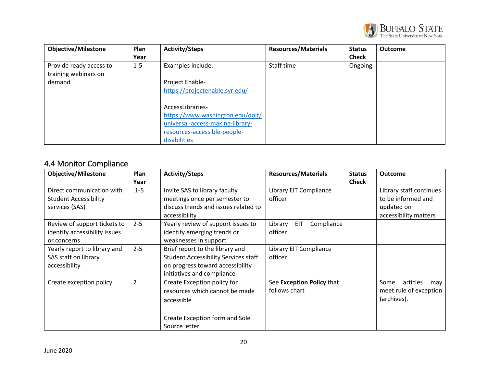

| <b>Objective/Milestone</b>                      | Plan    | <b>Activity/Steps</b>            | <b>Resources/Materials</b> | <b>Status</b> | <b>Outcome</b> |
|-------------------------------------------------|---------|----------------------------------|----------------------------|---------------|----------------|
|                                                 | Year    |                                  |                            | <b>Check</b>  |                |
| Provide ready access to<br>training webinars on | $1 - 5$ | Examples include:                | Staff time                 | Ongoing       |                |
| demand                                          |         | Project Enable-                  |                            |               |                |
|                                                 |         | https://projectenable.syr.edu/   |                            |               |                |
|                                                 |         | AccessLibraries-                 |                            |               |                |
|                                                 |         | https://www.washington.edu/doit/ |                            |               |                |
|                                                 |         | universal-access-making-library- |                            |               |                |
|                                                 |         | resources-accessible-people-     |                            |               |                |
|                                                 |         | disabilities                     |                            |               |                |

# 4.4 Monitor Compliance

<span id="page-19-0"></span>

| <b>Objective/Milestone</b>    | Plan           | <b>Activity/Steps</b>                       | <b>Resources/Materials</b>          | <b>Status</b> | <b>Outcome</b>          |
|-------------------------------|----------------|---------------------------------------------|-------------------------------------|---------------|-------------------------|
|                               | Year           |                                             |                                     | <b>Check</b>  |                         |
| Direct communication with     | $1 - 5$        | Invite SAS to library faculty               | Library EIT Compliance              |               | Library staff continues |
| <b>Student Accessibility</b>  |                | meetings once per semester to               | officer                             |               | to be informed and      |
| services (SAS)                |                | discuss trends and issues related to        |                                     |               | updated on              |
|                               |                | accessibility                               |                                     |               | accessibility matters   |
| Review of support tickets to  | $2 - 5$        | Yearly review of support issues to          | Compliance<br><b>EIT</b><br>Library |               |                         |
| identify accessibility issues |                | identify emerging trends or                 | officer                             |               |                         |
| or concerns                   |                | weaknesses in support                       |                                     |               |                         |
| Yearly report to library and  | $2 - 5$        | Brief report to the library and             | Library EIT Compliance              |               |                         |
| SAS staff on library          |                | <b>Student Accessibility Services staff</b> | officer                             |               |                         |
| accessibility                 |                | on progress toward accessibility            |                                     |               |                         |
|                               |                | initiatives and compliance                  |                                     |               |                         |
| Create exception policy       | $\overline{2}$ | Create Exception policy for                 | See Exception Policy that           |               | articles<br>Some<br>may |
|                               |                | resources which cannot be made              | follows chart                       |               | meet rule of exception  |
|                               |                | accessible                                  |                                     |               | (archives).             |
|                               |                |                                             |                                     |               |                         |
|                               |                | Create Exception form and Sole              |                                     |               |                         |
|                               |                | Source letter                               |                                     |               |                         |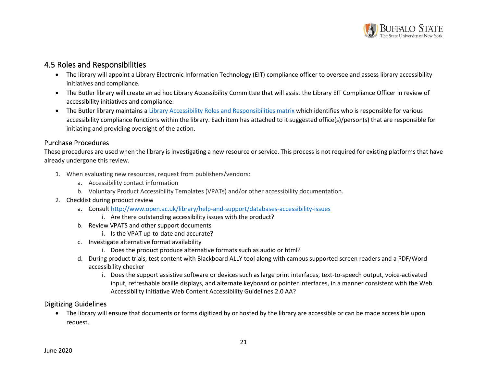

### 4.5 Roles and Responsibilities

- The library will appoint a Library Electronic Information Technology (EIT) compliance officer to oversee and assess library accessibility initiatives and compliance.
- The Butler library will create an ad hoc Library Accessibility Committee that will assist the Library EIT Compliance Officer in review of accessibility initiatives and compliance.
- The Butler library maintains a [Library Accessibility Roles and Responsibilities matrix](https://buffalostate0.sharepoint.com/:x:/s/EHButlerLibrary/ES7lj2WY-w9InS4ntJI8ZgQBeGgPYLKFwS8Jb_SGWO7DBA?e=Nbu4JG) which identifies who is responsible for various accessibility compliance functions within the library. Each item has attached to it suggested office(s)/person(s) that are responsible for initiating and providing oversight of the action.

#### Purchase Procedures

These procedures are used when the library is investigating a new resource or service. This process is not required for existing platforms that have already undergone this review.

- <span id="page-20-0"></span>1. When evaluating new resources, request from publishers/vendors:
	- a. Accessibility contact information
	- b. Voluntary Product Accessibility Templates (VPATs) and/or other accessibility documentation.
- 2. Checklist during product review
	- a. Consult<http://www.open.ac.uk/library/help-and-support/databases-accessibility-issues>
		- i. Are there outstanding accessibility issues with the product?
	- b. Review VPATS and other support documents
		- i. Is the VPAT up-to-date and accurate?
	- c. Investigate alternative format availability
		- i. Does the product produce alternative formats such as audio or html?
	- d. During product trials, test content with Blackboard ALLY tool along with campus supported screen readers and a PDF/Word accessibility checker
		- i. Does the support assistive software or devices such as large print interfaces, text-to-speech output, voice-activated input, refreshable braille displays, and alternate keyboard or pointer interfaces, in a manner consistent with the Web Accessibility Initiative Web Content Accessibility Guidelines 2.0 AA?

#### <span id="page-20-1"></span>Digitizing Guidelines

<span id="page-20-2"></span>• The library will ensure that documents or forms digitized by or hosted by the library are accessible or can be made accessible upon request.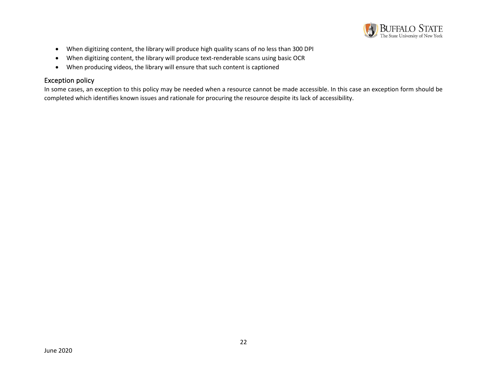

- When digitizing content, the library will produce high quality scans of no less than 300 DPI
- When digitizing content, the library will produce text-renderable scans using basic OCR
- When producing videos, the library will ensure that such content is captioned

#### Exception policy

<span id="page-21-0"></span>In some cases, an exception to this policy may be needed when a resource cannot be made accessible. In this case an exception form should be completed which identifies known issues and rationale for procuring the resource despite its lack of accessibility.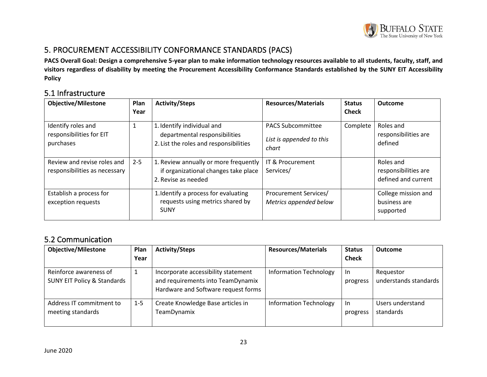

# 5. PROCUREMENT ACCESSIBILITY CONFORMANCE STANDARDS (PACS)

**PACS Overall Goal: Design a comprehensive 5-year plan to make information technology resources available to all students, faculty, staff, and visitors regardless of disability by meeting the Procurement Accessibility Conformance Standards established by the SUNY EIT Accessibility Policy**

### 5.1 Infrastructure

<span id="page-22-0"></span>

| <b>Objective/Milestone</b>                                   | Plan<br>Year | <b>Activity/Steps</b>                                                                                 | <b>Resources/Materials</b>                                    | <b>Status</b><br><b>Check</b> | <b>Outcome</b>                                           |
|--------------------------------------------------------------|--------------|-------------------------------------------------------------------------------------------------------|---------------------------------------------------------------|-------------------------------|----------------------------------------------------------|
| Identify roles and<br>responsibilities for EIT<br>purchases  |              | 1. Identify individual and<br>departmental responsibilities<br>2. List the roles and responsibilities | <b>PACS Subcommittee</b><br>List is appended to this<br>chart | Complete                      | Roles and<br>responsibilities are<br>defined             |
| Review and revise roles and<br>responsibilities as necessary | $2 - 5$      | 1. Review annually or more frequently<br>if organizational changes take place<br>2. Revise as needed  | IT & Procurement<br>Services/                                 |                               | Roles and<br>responsibilities are<br>defined and current |
| Establish a process for<br>exception requests                |              | 1. Identify a process for evaluating<br>requests using metrics shared by<br><b>SUNY</b>               | Procurement Services/<br>Metrics appended below               |                               | College mission and<br>business are<br>supported         |

### <span id="page-22-1"></span>5.2 Communication

<span id="page-22-2"></span>

| <b>Objective/Milestone</b>                                       | Plan<br>Year | <b>Activity/Steps</b>                                                                                           | <b>Resources/Materials</b>    | <b>Status</b><br><b>Check</b> | <b>Outcome</b>                     |
|------------------------------------------------------------------|--------------|-----------------------------------------------------------------------------------------------------------------|-------------------------------|-------------------------------|------------------------------------|
| Reinforce awareness of<br><b>SUNY EIT Policy &amp; Standards</b> |              | Incorporate accessibility statement<br>and requirements into TeamDynamix<br>Hardware and Software request forms | <b>Information Technology</b> | In.<br>progress               | Requestor<br>understands standards |
| Address IT commitment to<br>meeting standards                    | $1 - 5$      | Create Knowledge Base articles in<br>TeamDynamix                                                                | <b>Information Technology</b> | In.<br>progress               | Users understand<br>standards      |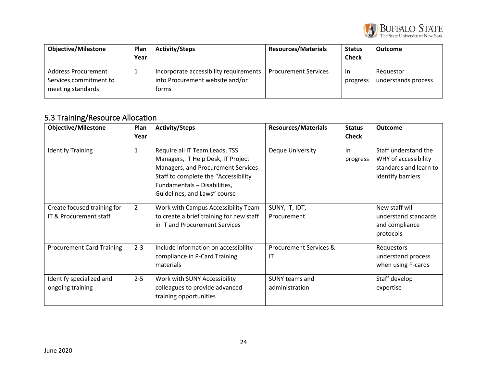

| <b>Objective/Milestone</b>                                         | <b>Plan</b><br>Year | <b>Activity/Steps</b>                                                              | <b>Resources/Materials</b>  | <b>Status</b><br><b>Check</b> | <b>Outcome</b>                   |
|--------------------------------------------------------------------|---------------------|------------------------------------------------------------------------------------|-----------------------------|-------------------------------|----------------------------------|
| Address Procurement<br>Services commitment to<br>meeting standards |                     | Incorporate accessibility requirements<br>into Procurement website and/or<br>forms | <b>Procurement Services</b> | -In<br>progress               | Requestor<br>understands process |

# 5.3 Training/Resource Allocation

<span id="page-23-0"></span>

| <b>Objective/Milestone</b>                            | Plan<br>Year   | <b>Activity/Steps</b>                                                                                                                                                                                              | <b>Resources/Materials</b>              | <b>Status</b><br><b>Check</b> | <b>Outcome</b>                                                                              |
|-------------------------------------------------------|----------------|--------------------------------------------------------------------------------------------------------------------------------------------------------------------------------------------------------------------|-----------------------------------------|-------------------------------|---------------------------------------------------------------------------------------------|
| <b>Identify Training</b>                              | $\mathbf{1}$   | Require all IT Team Leads, TSS<br>Managers, IT Help Desk, IT Project<br>Managers, and Procurement Services<br>Staff to complete the "Accessibility<br>Fundamentals - Disabilities,<br>Guidelines, and Laws" course | <b>Deque University</b>                 | In.<br>progress               | Staff understand the<br>WHY of accessibility<br>standards and learn to<br>identify barriers |
| Create focused training for<br>IT & Procurement staff | $\overline{2}$ | Work with Campus Accessibility Team<br>to create a brief training for new staff<br>in IT and Procurement Services                                                                                                  | SUNY, IT, IDT,<br>Procurement           |                               | New staff will<br>understand standards<br>and compliance<br>protocols                       |
| <b>Procurement Card Training</b>                      | $2 - 3$        | Include information on accessibility<br>compliance in P-Card Training<br>materials                                                                                                                                 | <b>Procurement Services &amp;</b><br>IT |                               | Requestors<br>understand process<br>when using P-cards                                      |
| Identify specialized and<br>ongoing training          | $2 - 5$        | Work with SUNY Accessibility<br>colleagues to provide advanced<br>training opportunities                                                                                                                           | <b>SUNY teams and</b><br>administration |                               | Staff develop<br>expertise                                                                  |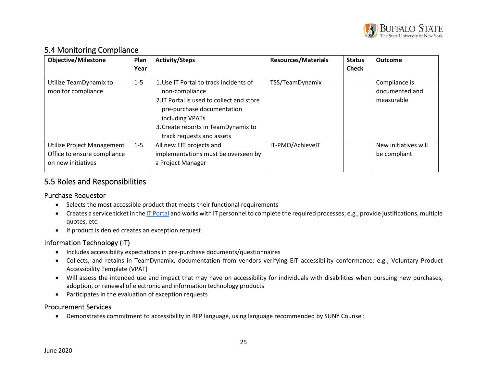

### 5.4 Monitoring Compliance

| <b>Objective/Milestone</b>                                                      | Plan<br>Year | <b>Activity/Steps</b>                                                                                                                                                                                                      | <b>Resources/Materials</b> | <b>Status</b><br><b>Check</b> | Outcome                                       |
|---------------------------------------------------------------------------------|--------------|----------------------------------------------------------------------------------------------------------------------------------------------------------------------------------------------------------------------------|----------------------------|-------------------------------|-----------------------------------------------|
| Utilize TeamDynamix to<br>monitor compliance                                    | $1 - 5$      | 1. Use IT Portal to track incidents of<br>non-compliance<br>2. IT Portal is used to collect and store<br>pre-purchase documentation<br>including VPATs<br>3. Create reports in TeamDynamix to<br>track requests and assets | TSS/TeamDynamix            |                               | Compliance is<br>documented and<br>measurable |
| Utilize Project Management<br>Office to ensure compliance<br>on new initiatives | $1 - 5$      | All new EIT projects and<br>implementations must be overseen by<br>a Project Manager                                                                                                                                       | IT-PMO/AchievelT           |                               | New initiatives will<br>be compliant          |

### <span id="page-24-0"></span>5.5 Roles and Responsibilities

#### Purchase Requestor

- Selects the most accessible product that meets their functional requirements
- Creates a service ticket in th[e IT Portal](https://buffalostate.teamdynamix.com/TDClient/2003/Portal/Home/) and works with IT personnel to complete the required processes; e.g., provide justifications, multiple quotes, etc.
- If product is denied creates an exception request

### Information Technology (IT)

- Includes accessibility expectations in pre-purchase documents/questionnaires
- Collects, and retains in TeamDynamix, documentation from vendors verifying EIT accessibility conformance: e.g., Voluntary Product Accessibility Template (VPAT)
- Will assess the intended use and impact that may have on accessibility for individuals with disabilities when pursuing new purchases, adoption, or renewal of electronic and information technology products
- <span id="page-24-1"></span>• Participates in the evaluation of exception requests

#### <span id="page-24-2"></span>Procurement Services

<span id="page-24-4"></span><span id="page-24-3"></span>• Demonstrates commitment to accessibility in RFP language, using language recommended by SUNY Counsel: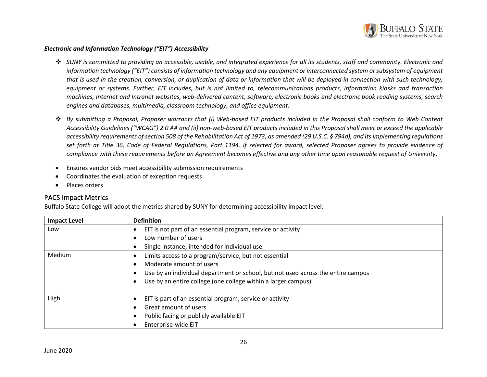

#### *Electronic and Information Technology ("EIT") Accessibility*

- ❖ *SUNY is committed to providing an accessible, usable, and integrated experience for all its students, staff and community. Electronic and information technology ("EIT") consists of information technology and any equipment or interconnected system or subsystem of equipment that is used in the creation, conversion, or duplication of data or information that will be deployed in connection with such technology, equipment or systems. Further, EIT includes, but is not limited to, telecommunications products, information kiosks and transaction machines, Internet and Intranet websites, web-delivered content, software, electronic books and electronic book reading systems, search engines and databases, multimedia, classroom technology, and office equipment.*
- ❖ *By submitting a Proposal, Proposer warrants that (i) Web-based EIT products included in the Proposal shall conform to Web Content Accessibility Guidelines ("WCAG") 2.0 AA and (ii) non-web-based EIT products included in this Proposal shall meet or exceed the applicable accessibility requirements of section 508 of the Rehabilitation Act of 1973, as amended (29 U.S.C. § 794d), and its implementing regulations set forth at Title 36, Code of Federal Regulations, Part 1194. If selected for award, selected Proposer agrees to provide evidence of compliance with these requirements before an Agreement becomes effective and any other time upon reasonable request of University*.
- Ensures vendor bids meet accessibility submission requirements
- Coordinates the evaluation of exception requests
- Places orders

#### PACS Impact Metrics

Buffalo State College will adopt the metrics shared by SUNY for determining accessibility impact level:

<span id="page-25-0"></span>

| <b>Impact Level</b> | <b>Definition</b>                                                                |  |  |  |  |  |  |  |
|---------------------|----------------------------------------------------------------------------------|--|--|--|--|--|--|--|
| Low                 | EIT is not part of an essential program, service or activity                     |  |  |  |  |  |  |  |
|                     | Low number of users                                                              |  |  |  |  |  |  |  |
|                     | Single instance, intended for individual use                                     |  |  |  |  |  |  |  |
| Medium              | Limits access to a program/service, but not essential                            |  |  |  |  |  |  |  |
|                     | Moderate amount of users                                                         |  |  |  |  |  |  |  |
|                     | Use by an individual department or school, but not used across the entire campus |  |  |  |  |  |  |  |
|                     | Use by an entire college (one college within a larger campus)                    |  |  |  |  |  |  |  |
|                     |                                                                                  |  |  |  |  |  |  |  |
| High                | EIT is part of an essential program, service or activity                         |  |  |  |  |  |  |  |
|                     | Great amount of users                                                            |  |  |  |  |  |  |  |
|                     | Public facing or publicly available EIT                                          |  |  |  |  |  |  |  |
|                     | Enterprise-wide EIT                                                              |  |  |  |  |  |  |  |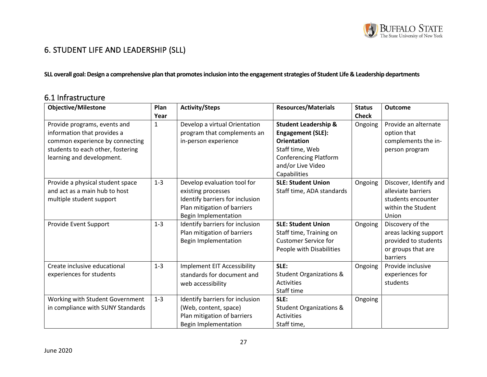

# 6. STUDENT LIFE AND LEADERSHIP (SLL)

SLL overall goal: Design a comprehensive plan that promotes inclusion into the engagement strategies of Student Life & Leadership departments

# 6.1 Infrastructure

<span id="page-26-1"></span><span id="page-26-0"></span>

| <b>Objective/Milestone</b>        | Plan    | <b>Activity/Steps</b>              | <b>Resources/Materials</b>         | <b>Status</b> | <b>Outcome</b>         |
|-----------------------------------|---------|------------------------------------|------------------------------------|---------------|------------------------|
|                                   | Year    |                                    |                                    | <b>Check</b>  |                        |
| Provide programs, events and      | 1       | Develop a virtual Orientation      | <b>Student Leadership &amp;</b>    | Ongoing       | Provide an alternate   |
| information that provides a       |         | program that complements an        | <b>Engagement (SLE):</b>           |               | option that            |
| common experience by connecting   |         | in-person experience               | <b>Orientation</b>                 |               | complements the in-    |
| students to each other, fostering |         |                                    | Staff time, Web                    |               | person program         |
| learning and development.         |         |                                    | <b>Conferencing Platform</b>       |               |                        |
|                                   |         |                                    | and/or Live Video                  |               |                        |
|                                   |         |                                    | Capabilities                       |               |                        |
| Provide a physical student space  | $1 - 3$ | Develop evaluation tool for        | <b>SLE: Student Union</b>          | Ongoing       | Discover, Identify and |
| and act as a main hub to host     |         | existing processes                 | Staff time, ADA standards          |               | alleviate barriers     |
| multiple student support          |         | Identify barriers for inclusion    |                                    |               | students encounter     |
|                                   |         | Plan mitigation of barriers        |                                    |               | within the Student     |
|                                   |         | <b>Begin Implementation</b>        |                                    |               | Union                  |
| Provide Event Support             | $1 - 3$ | Identify barriers for inclusion    | <b>SLE: Student Union</b>          | Ongoing       | Discovery of the       |
|                                   |         | Plan mitigation of barriers        | Staff time, Training on            |               | areas lacking support  |
|                                   |         | <b>Begin Implementation</b>        | <b>Customer Service for</b>        |               | provided to students   |
|                                   |         |                                    | People with Disabilities           |               | or groups that are     |
|                                   |         |                                    |                                    |               | barriers               |
| Create inclusive educational      | $1 - 3$ | <b>Implement EIT Accessibility</b> | SLE:                               | Ongoing       | Provide inclusive      |
| experiences for students          |         | standards for document and         | <b>Student Organizations &amp;</b> |               | experiences for        |
|                                   |         | web accessibility                  | <b>Activities</b>                  |               | students               |
|                                   |         |                                    | Staff time                         |               |                        |
| Working with Student Government   | $1 - 3$ | Identify barriers for inclusion    | SLE:                               | Ongoing       |                        |
| in compliance with SUNY Standards |         | (Web, content, space)              | <b>Student Organizations &amp;</b> |               |                        |
|                                   |         | Plan mitigation of barriers        | <b>Activities</b>                  |               |                        |
|                                   |         | <b>Begin Implementation</b>        | Staff time,                        |               |                        |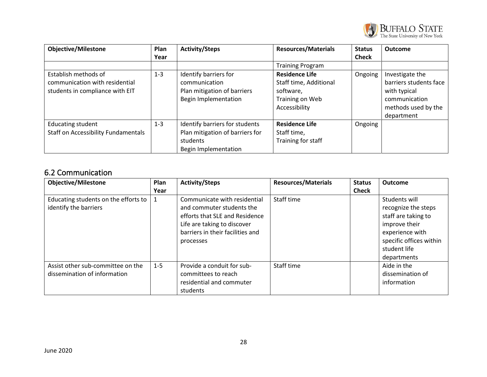

| <b>Objective/Milestone</b>                                                                | Plan<br>Year | <b>Activity/Steps</b>                                                                                 | <b>Resources/Materials</b>                                                                       | <b>Status</b><br><b>Check</b> | Outcome                                                                                                         |
|-------------------------------------------------------------------------------------------|--------------|-------------------------------------------------------------------------------------------------------|--------------------------------------------------------------------------------------------------|-------------------------------|-----------------------------------------------------------------------------------------------------------------|
|                                                                                           |              |                                                                                                       | <b>Training Program</b>                                                                          |                               |                                                                                                                 |
| Establish methods of<br>communication with residential<br>students in compliance with EIT | $1 - 3$      | Identify barriers for<br>communication<br>Plan mitigation of barriers<br>Begin Implementation         | <b>Residence Life</b><br>Staff time, Additional<br>software,<br>Training on Web<br>Accessibility | Ongoing                       | Investigate the<br>barriers students face<br>with typical<br>communication<br>methods used by the<br>department |
| <b>Educating student</b><br><b>Staff on Accessibility Fundamentals</b>                    | $1 - 3$      | Identify barriers for students<br>Plan mitigation of barriers for<br>students<br>Begin Implementation | <b>Residence Life</b><br>Staff time,<br>Training for staff                                       | Ongoing                       |                                                                                                                 |

# 6.2 Communication

<span id="page-27-0"></span>

| <b>Objective/Milestone</b>           | Plan        | <b>Activity/Steps</b>            | <b>Resources/Materials</b> | <b>Status</b> | <b>Outcome</b>          |
|--------------------------------------|-------------|----------------------------------|----------------------------|---------------|-------------------------|
|                                      | Year        |                                  |                            | <b>Check</b>  |                         |
| Educating students on the efforts to | $\mathbf 1$ | Communicate with residential     | Staff time                 |               | Students will           |
| identify the barriers                |             | and commuter students the        |                            |               | recognize the steps     |
|                                      |             | efforts that SLE and Residence   |                            |               | staff are taking to     |
|                                      |             | Life are taking to discover      |                            |               | improve their           |
|                                      |             | barriers in their facilities and |                            |               | experience with         |
|                                      |             | processes                        |                            |               | specific offices within |
|                                      |             |                                  |                            |               | student life            |
|                                      |             |                                  |                            |               | departments             |
| Assist other sub-committee on the    | $1 - 5$     | Provide a conduit for sub-       | Staff time                 |               | Aide in the             |
| dissemination of information         |             | committees to reach              |                            |               | dissemination of        |
|                                      |             | residential and commuter         |                            |               | information             |
|                                      |             | students                         |                            |               |                         |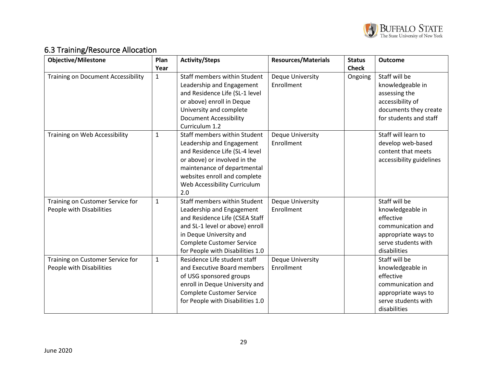

# 6.3 Training/Resource Allocation

<span id="page-28-0"></span>

| <b>Objective/Milestone</b>                | Plan         | <b>Activity/Steps</b>            | <b>Resources/Materials</b> | <b>Status</b> | <b>Outcome</b>           |
|-------------------------------------------|--------------|----------------------------------|----------------------------|---------------|--------------------------|
|                                           | Year         |                                  |                            | <b>Check</b>  |                          |
| <b>Training on Document Accessibility</b> | $\mathbf{1}$ | Staff members within Student     | Deque University           | Ongoing       | Staff will be            |
|                                           |              | Leadership and Engagement        | Enrollment                 |               | knowledgeable in         |
|                                           |              | and Residence Life (SL-1 level   |                            |               | assessing the            |
|                                           |              | or above) enroll in Deque        |                            |               | accessibility of         |
|                                           |              | University and complete          |                            |               | documents they create    |
|                                           |              | <b>Document Accessibility</b>    |                            |               | for students and staff   |
|                                           |              | Curriculum 1.2                   |                            |               |                          |
| Training on Web Accessibility             | $\mathbf{1}$ | Staff members within Student     | Deque University           |               | Staff will learn to      |
|                                           |              | Leadership and Engagement        | Enrollment                 |               | develop web-based        |
|                                           |              | and Residence Life (SL-4 level   |                            |               | content that meets       |
|                                           |              | or above) or involved in the     |                            |               | accessibility guidelines |
|                                           |              | maintenance of departmental      |                            |               |                          |
|                                           |              | websites enroll and complete     |                            |               |                          |
|                                           |              | Web Accessibility Curriculum     |                            |               |                          |
|                                           |              | 2.0                              |                            |               |                          |
| Training on Customer Service for          | $\mathbf{1}$ | Staff members within Student     | <b>Deque University</b>    |               | Staff will be            |
| People with Disabilities                  |              | Leadership and Engagement        | Enrollment                 |               | knowledgeable in         |
|                                           |              | and Residence Life (CSEA Staff   |                            |               | effective                |
|                                           |              | and SL-1 level or above) enroll  |                            |               | communication and        |
|                                           |              | in Deque University and          |                            |               | appropriate ways to      |
|                                           |              | <b>Complete Customer Service</b> |                            |               | serve students with      |
|                                           |              | for People with Disabilities 1.0 |                            |               | disabilities             |
| Training on Customer Service for          | $\mathbf{1}$ | Residence Life student staff     | Deque University           |               | Staff will be            |
| People with Disabilities                  |              | and Executive Board members      | Enrollment                 |               | knowledgeable in         |
|                                           |              | of USG sponsored groups          |                            |               | effective                |
|                                           |              | enroll in Deque University and   |                            |               | communication and        |
|                                           |              | <b>Complete Customer Service</b> |                            |               | appropriate ways to      |
|                                           |              | for People with Disabilities 1.0 |                            |               | serve students with      |
|                                           |              |                                  |                            |               | disabilities             |